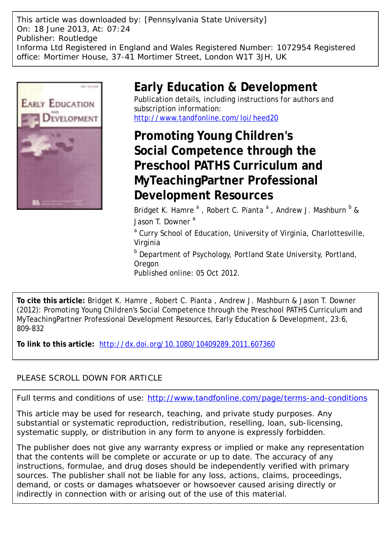This article was downloaded by: [Pennsylvania State University] On: 18 June 2013, At: 07:24 Publisher: Routledge Informa Ltd Registered in England and Wales Registered Number: 1072954 Registered office: Mortimer House, 37-41 Mortimer Street, London W1T 3JH, UK



# **Early Education & Development**

Publication details, including instructions for authors and subscription information: <http://www.tandfonline.com/loi/heed20>

**Promoting Young Children's Social Competence through the Preschool PATHS Curriculum and MyTeachingPartner Professional Development Resources**

Bridget K. Hamre <sup>a</sup>, Robert C. Pianta <sup>a</sup>, Andrew J. Mashburn <sup>b</sup> & Jason T. Downer<sup>a</sup>

<sup>a</sup> Curry School of Education, University of Virginia, Charlottesville, Virginia

**b** Department of Psychology, Portland State University, Portland, **Oregon** 

Published online: 05 Oct 2012.

**To cite this article:** Bridget K. Hamre , Robert C. Pianta , Andrew J. Mashburn & Jason T. Downer (2012): Promoting Young Children's Social Competence through the Preschool PATHS Curriculum and MyTeachingPartner Professional Development Resources, Early Education & Development, 23:6, 809-832

**To link to this article:** <http://dx.doi.org/10.1080/10409289.2011.607360>

## PLEASE SCROLL DOWN FOR ARTICLE

Full terms and conditions of use:<http://www.tandfonline.com/page/terms-and-conditions>

This article may be used for research, teaching, and private study purposes. Any substantial or systematic reproduction, redistribution, reselling, loan, sub-licensing, systematic supply, or distribution in any form to anyone is expressly forbidden.

The publisher does not give any warranty express or implied or make any representation that the contents will be complete or accurate or up to date. The accuracy of any instructions, formulae, and drug doses should be independently verified with primary sources. The publisher shall not be liable for any loss, actions, claims, proceedings, demand, or costs or damages whatsoever or howsoever caused arising directly or indirectly in connection with or arising out of the use of this material.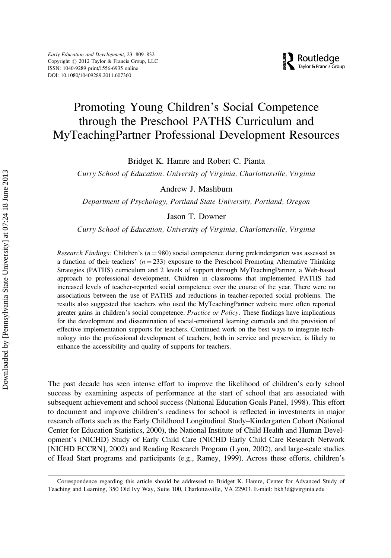## Promoting Young Children's Social Competence through the Preschool PATHS Curriculum and MyTeachingPartner Professional Development Resources

Bridget K. Hamre and Robert C. Pianta

Curry School of Education, University of Virginia, Charlottesville, Virginia

Andrew J. Mashburn

Department of Psychology, Portland State University, Portland, Oregon

#### Jason T. Downer

Curry School of Education, University of Virginia, Charlottesville, Virginia

*Research Findings:* Children's ( $n = 980$ ) social competence during prekindergarten was assessed as a function of their teachers'  $(n = 233)$  exposure to the Preschool Promoting Alternative Thinking Strategies (PATHS) curriculum and 2 levels of support through MyTeachingPartner, a Web-based approach to professional development. Children in classrooms that implemented PATHS had increased levels of teacher-reported social competence over the course of the year. There were no associations between the use of PATHS and reductions in teacher-reported social problems. The results also suggested that teachers who used the MyTeachingPartner website more often reported greater gains in children's social competence. *Practice or Policy:* These findings have implications for the development and dissemination of social-emotional learning curricula and the provision of effective implementation supports for teachers. Continued work on the best ways to integrate technology into the professional development of teachers, both in service and preservice, is likely to enhance the accessibility and quality of supports for teachers.

The past decade has seen intense effort to improve the likelihood of children's early school success by examining aspects of performance at the start of school that are associated with subsequent achievement and school success (National Education Goals Panel, 1998). This effort to document and improve children's readiness for school is reflected in investments in major research efforts such as the Early Childhood Longitudinal Study–Kindergarten Cohort (National Center for Education Statistics, 2000), the National Institute of Child Health and Human Development's (NICHD) Study of Early Child Care (NICHD Early Child Care Research Network [NICHD ECCRN], 2002) and Reading Research Program (Lyon, 2002), and large-scale studies of Head Start programs and participants (e.g., Ramey, 1999). Across these efforts, children's

Correspondence regarding this article should be addressed to Bridget K. Hamre, Center for Advanced Study of Teaching and Learning, 350 Old Ivy Way, Suite 100, Charlottesville, VA 22903. E-mail: bkh3d@virginia.edu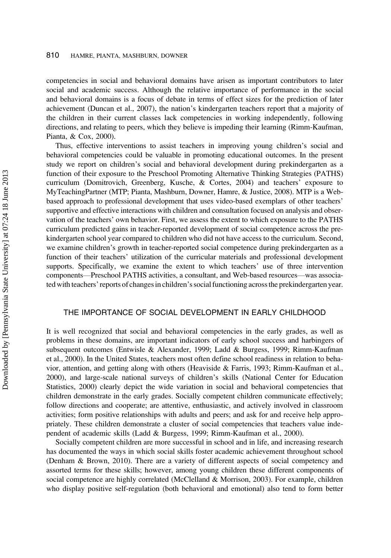competencies in social and behavioral domains have arisen as important contributors to later social and academic success. Although the relative importance of performance in the social and behavioral domains is a focus of debate in terms of effect sizes for the prediction of later achievement (Duncan et al., 2007), the nation's kindergarten teachers report that a majority of the children in their current classes lack competencies in working independently, following directions, and relating to peers, which they believe is impeding their learning (Rimm-Kaufman, Pianta, & Cox, 2000).

Thus, effective interventions to assist teachers in improving young children's social and behavioral competencies could be valuable in promoting educational outcomes. In the present study we report on children's social and behavioral development during prekindergarten as a function of their exposure to the Preschool Promoting Alternative Thinking Strategies (PATHS) curriculum (Domitrovich, Greenberg, Kusche, & Cortes, 2004) and teachers' exposure to MyTeachingPartner (MTP; Pianta, Mashburn, Downer, Hamre, & Justice, 2008). MTP is a Webbased approach to professional development that uses video-based exemplars of other teachers' supportive and effective interactions with children and consultation focused on analysis and observation of the teachers' own behavior. First, we assess the extent to which exposure to the PATHS curriculum predicted gains in teacher-reported development of social competence across the prekindergarten school year compared to children who did not have access to the curriculum. Second, we examine children's growth in teacher-reported social competence during prekindergarten as a function of their teachers' utilization of the curricular materials and professional development supports. Specifically, we examine the extent to which teachers' use of three intervention components—Preschool PATHS activities, a consultant, and Web-based resources—was associated with teachers' reports of changes in children's social functioning across the prekindergarten year.

#### THE IMPORTANCE OF SOCIAL DEVELOPMENT IN EARLY CHILDHOOD

It is well recognized that social and behavioral competencies in the early grades, as well as problems in these domains, are important indicators of early school success and harbingers of subsequent outcomes (Entwisle & Alexander, 1999; Ladd & Burgess, 1999; Rimm-Kaufman et al., 2000). In the United States, teachers most often define school readiness in relation to behavior, attention, and getting along with others (Heaviside & Farris, 1993; Rimm-Kaufman et al., 2000), and large-scale national surveys of children's skills (National Center for Education Statistics, 2000) clearly depict the wide variation in social and behavioral competencies that children demonstrate in the early grades. Socially competent children communicate effectively; follow directions and cooperate; are attentive, enthusiastic, and actively involved in classroom activities; form positive relationships with adults and peers; and ask for and receive help appropriately. These children demonstrate a cluster of social competencies that teachers value independent of academic skills (Ladd & Burgess, 1999; Rimm-Kaufman et al., 2000).

Socially competent children are more successful in school and in life, and increasing research has documented the ways in which social skills foster academic achievement throughout school (Denham & Brown, 2010). There are a variety of different aspects of social competency and assorted terms for these skills; however, among young children these different components of social competence are highly correlated (McClelland & Morrison, 2003). For example, children who display positive self-regulation (both behavioral and emotional) also tend to form better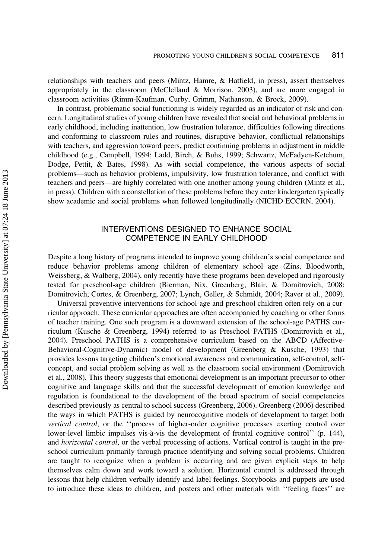relationships with teachers and peers (Mintz, Hamre, & Hatfield, in press), assert themselves appropriately in the classroom (McClelland  $\&$  Morrison, 2003), and are more engaged in classroom activities (Rimm-Kaufman, Curby, Grimm, Nathanson, & Brock, 2009).

In contrast, problematic social functioning is widely regarded as an indicator of risk and concern. Longitudinal studies of young children have revealed that social and behavioral problems in early childhood, including inattention, low frustration tolerance, difficulties following directions and conforming to classroom rules and routines, disruptive behavior, conflictual relationships with teachers, and aggression toward peers, predict continuing problems in adjustment in middle childhood (e.g., Campbell, 1994; Ladd, Birch, & Buhs, 1999; Schwartz, McFadyen-Ketchum, Dodge, Pettit, & Bates, 1998). As with social competence, the various aspects of social problems—such as behavior problems, impulsivity, low frustration tolerance, and conflict with teachers and peers—are highly correlated with one another among young children (Mintz et al., in press). Children with a constellation of these problems before they enter kindergarten typically show academic and social problems when followed longitudinally (NICHD ECCRN, 2004).

## INTERVENTIONS DESIGNED TO ENHANCE SOCIAL COMPETENCE IN EARLY CHILDHOOD

Despite a long history of programs intended to improve young children's social competence and reduce behavior problems among children of elementary school age (Zins, Bloodworth, Weissberg, & Walberg, 2004), only recently have these programs been developed and rigorously tested for preschool-age children (Bierman, Nix, Greenberg, Blair, & Domitrovich, 2008; Domitrovich, Cortes, & Greenberg, 2007; Lynch, Geller, & Schmidt, 2004; Raver et al., 2009).

Universal preventive interventions for school-age and preschool children often rely on a curricular approach. These curricular approaches are often accompanied by coaching or other forms of teacher training. One such program is a downward extension of the school-age PATHS curriculum (Kusche & Greenberg, 1994) referred to as Preschool PATHS (Domitrovich et al., 2004). Preschool PATHS is a comprehensive curriculum based on the ABCD (Affective-Behavioral-Cognitive-Dynamic) model of development (Greenberg & Kusche, 1993) that provides lessons targeting children's emotional awareness and communication, self-control, selfconcept, and social problem solving as well as the classroom social environment (Domitrovich et al., 2008). This theory suggests that emotional development is an important precursor to other cognitive and language skills and that the successful development of emotion knowledge and regulation is foundational to the development of the broad spectrum of social competencies described previously as central to school success (Greenberg, 2006). Greenberg (2006) described the ways in which PATHS is guided by neurocognitive models of development to target both vertical control, or the ''process of higher-order cognitive processes exerting control over lower-level limbic impulses vis-à-vis the development of frontal cognitive control'' (p. 144), and *horizontal control*, or the verbal processing of actions. Vertical control is taught in the preschool curriculum primarily through practice identifying and solving social problems. Children are taught to recognize when a problem is occurring and are given explicit steps to help themselves calm down and work toward a solution. Horizontal control is addressed through lessons that help children verbally identify and label feelings. Storybooks and puppets are used to introduce these ideas to children, and posters and other materials with ''feeling faces'' are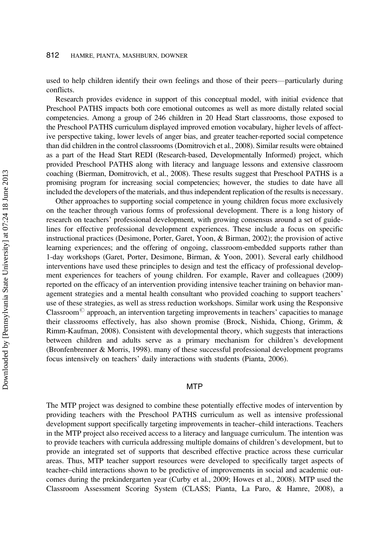used to help children identify their own feelings and those of their peers—particularly during conflicts.

Research provides evidence in support of this conceptual model, with initial evidence that Preschool PATHS impacts both core emotional outcomes as well as more distally related social competencies. Among a group of 246 children in 20 Head Start classrooms, those exposed to the Preschool PATHS curriculum displayed improved emotion vocabulary, higher levels of affective perspective taking, lower levels of anger bias, and greater teacher-reported social competence than did children in the control classrooms (Domitrovich et al., 2008). Similar results were obtained as a part of the Head Start REDI (Research-based, Developmentally Informed) project, which provided Preschool PATHS along with literacy and language lessons and extensive classroom coaching (Bierman, Domitrovich, et al., 2008). These results suggest that Preschool PATHS is a promising program for increasing social competencies; however, the studies to date have all included the developers of the materials, and thus independent replication of the results is necessary.

Other approaches to supporting social competence in young children focus more exclusively on the teacher through various forms of professional development. There is a long history of research on teachers' professional development, with growing consensus around a set of guidelines for effective professional development experiences. These include a focus on specific instructional practices (Desimone, Porter, Garet, Yoon, & Birman, 2002); the provision of active learning experiences; and the offering of ongoing, classroom-embedded supports rather than 1-day workshops (Garet, Porter, Desimone, Birman, & Yoon, 2001). Several early childhood interventions have used these principles to design and test the efficacy of professional development experiences for teachers of young children. For example, Raver and colleagues (2009) reported on the efficacy of an intervention providing intensive teacher training on behavior management strategies and a mental health consultant who provided coaching to support teachers' use of these strategies, as well as stress reduction workshops. Similar work using the Responsive Classroom $\mathcal{O}$  approach, an intervention targeting improvements in teachers' capacities to manage their classrooms effectively, has also shown promise (Brock, Nishida, Chiong, Grimm, & Rimm-Kaufman, 2008). Consistent with developmental theory, which suggests that interactions between children and adults serve as a primary mechanism for children's development (Bronfenbrenner & Morris, 1998). many of these successful professional development programs focus intensively on teachers' daily interactions with students (Pianta, 2006).

#### MTP

The MTP project was designed to combine these potentially effective modes of intervention by providing teachers with the Preschool PATHS curriculum as well as intensive professional development support specifically targeting improvements in teacher–child interactions. Teachers in the MTP project also received access to a literacy and language curriculum. The intention was to provide teachers with curricula addressing multiple domains of children's development, but to provide an integrated set of supports that described effective practice across these curricular areas. Thus, MTP teacher support resources were developed to specifically target aspects of teacher–child interactions shown to be predictive of improvements in social and academic outcomes during the prekindergarten year (Curby et al., 2009; Howes et al., 2008). MTP used the Classroom Assessment Scoring System (CLASS; Pianta, La Paro, & Hamre, 2008), a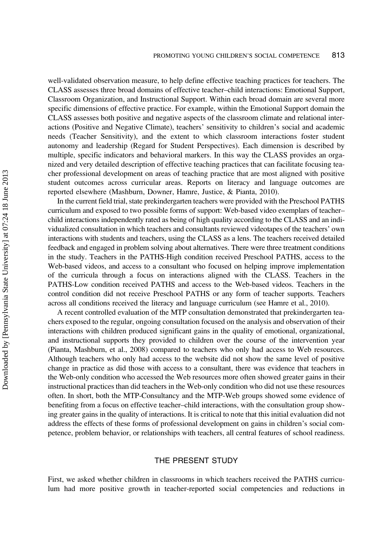well-validated observation measure, to help define effective teaching practices for teachers. The CLASS assesses three broad domains of effective teacher–child interactions: Emotional Support, Classroom Organization, and Instructional Support. Within each broad domain are several more specific dimensions of effective practice. For example, within the Emotional Support domain the CLASS assesses both positive and negative aspects of the classroom climate and relational interactions (Positive and Negative Climate), teachers' sensitivity to children's social and academic needs (Teacher Sensitivity), and the extent to which classroom interactions foster student autonomy and leadership (Regard for Student Perspectives). Each dimension is described by multiple, specific indicators and behavioral markers. In this way the CLASS provides an organized and very detailed description of effective teaching practices that can facilitate focusing teacher professional development on areas of teaching practice that are most aligned with positive student outcomes across curricular areas. Reports on literacy and language outcomes are reported elsewhere (Mashburn, Downer, Hamre, Justice, & Pianta, 2010).

In the current field trial, state prekindergarten teachers were provided with the Preschool PATHS curriculum and exposed to two possible forms of support: Web-based video exemplars of teacher– child interactions independently rated as being of high quality according to the CLASS and an individualized consultation in which teachers and consultants reviewed videotapes of the teachers' own interactions with students and teachers, using the CLASS as a lens. The teachers received detailed feedback and engaged in problem solving about alternatives. There were three treatment conditions in the study. Teachers in the PATHS-High condition received Preschool PATHS, access to the Web-based videos, and access to a consultant who focused on helping improve implementation of the curricula through a focus on interactions aligned with the CLASS. Teachers in the PATHS-Low condition received PATHS and access to the Web-based videos. Teachers in the control condition did not receive Preschool PATHS or any form of teacher supports. Teachers across all conditions received the literacy and language curriculum (see Hamre et al., 2010).

A recent controlled evaluation of the MTP consultation demonstrated that prekindergarten teachers exposed to the regular, ongoing consultation focused on the analysis and observation of their interactions with children produced significant gains in the quality of emotional, organizational, and instructional supports they provided to children over the course of the intervention year (Pianta, Mashburn, et al., 2008) compared to teachers who only had access to Web resources. Although teachers who only had access to the website did not show the same level of positive change in practice as did those with access to a consultant, there was evidence that teachers in the Web-only condition who accessed the Web resources more often showed greater gains in their instructional practices than did teachers in the Web-only condition who did not use these resources often. In short, both the MTP-Consultancy and the MTP-Web groups showed some evidence of benefiting from a focus on effective teacher–child interactions, with the consultation group showing greater gains in the quality of interactions. It is critical to note that this initial evaluation did not address the effects of these forms of professional development on gains in children's social competence, problem behavior, or relationships with teachers, all central features of school readiness.

#### THE PRESENT STUDY

First, we asked whether children in classrooms in which teachers received the PATHS curriculum had more positive growth in teacher-reported social competencies and reductions in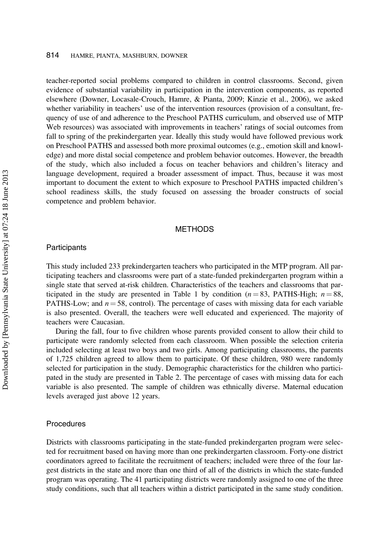teacher-reported social problems compared to children in control classrooms. Second, given evidence of substantial variability in participation in the intervention components, as reported elsewhere (Downer, Locasale-Crouch, Hamre, & Pianta, 2009; Kinzie et al., 2006), we asked whether variability in teachers' use of the intervention resources (provision of a consultant, frequency of use of and adherence to the Preschool PATHS curriculum, and observed use of MTP Web resources) was associated with improvements in teachers' ratings of social outcomes from fall to spring of the prekindergarten year. Ideally this study would have followed previous work on Preschool PATHS and assessed both more proximal outcomes (e.g., emotion skill and knowledge) and more distal social competence and problem behavior outcomes. However, the breadth of the study, which also included a focus on teacher behaviors and children's literacy and language development, required a broader assessment of impact. Thus, because it was most important to document the extent to which exposure to Preschool PATHS impacted children's school readiness skills, the study focused on assessing the broader constructs of social competence and problem behavior.

### **METHODS**

#### **Participants**

This study included 233 prekindergarten teachers who participated in the MTP program. All participating teachers and classrooms were part of a state-funded prekindergarten program within a single state that served at-risk children. Characteristics of the teachers and classrooms that participated in the study are presented in Table 1 by condition ( $n = 83$ , PATHS-High;  $n = 88$ , PATHS-Low; and  $n = 58$ , control). The percentage of cases with missing data for each variable is also presented. Overall, the teachers were well educated and experienced. The majority of teachers were Caucasian.

During the fall, four to five children whose parents provided consent to allow their child to participate were randomly selected from each classroom. When possible the selection criteria included selecting at least two boys and two girls. Among participating classrooms, the parents of 1,725 children agreed to allow them to participate. Of these children, 980 were randomly selected for participation in the study. Demographic characteristics for the children who participated in the study are presented in Table 2. The percentage of cases with missing data for each variable is also presented. The sample of children was ethnically diverse. Maternal education levels averaged just above 12 years.

#### Procedures

Districts with classrooms participating in the state-funded prekindergarten program were selected for recruitment based on having more than one prekindergarten classroom. Forty-one district coordinators agreed to facilitate the recruitment of teachers; included were three of the four largest districts in the state and more than one third of all of the districts in which the state-funded program was operating. The 41 participating districts were randomly assigned to one of the three study conditions, such that all teachers within a district participated in the same study condition.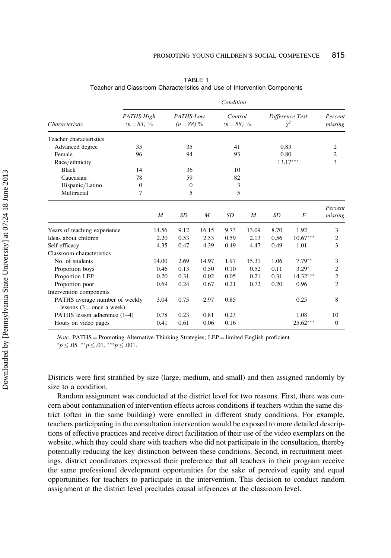|                                                               |                           |       |                          |       | Condition              |       |                             |            |                    |
|---------------------------------------------------------------|---------------------------|-------|--------------------------|-------|------------------------|-------|-----------------------------|------------|--------------------|
| Characteristic                                                | PATHS-High<br>$(n=83) \%$ |       | PATHS-Low<br>$(n=88) \%$ |       | Control<br>$(n=58) \%$ |       | Difference Test<br>$\chi^2$ |            | Percent<br>missing |
| Teacher characteristics                                       |                           |       |                          |       |                        |       |                             |            |                    |
| Advanced degree                                               | 35                        |       | 35                       |       | 41                     |       | 0.83                        |            | 2                  |
| Female                                                        | 96                        |       | 94                       |       | 93                     |       | 0.80                        |            | $\mathfrak{2}$     |
| Race/ethnicity                                                |                           |       |                          |       |                        |       |                             | $13.17***$ | 3                  |
| <b>Black</b>                                                  | 14                        |       | 36                       |       | 10                     |       |                             |            |                    |
| Caucasian                                                     | 78                        |       | 59                       |       | 82                     |       |                             |            |                    |
| Hispanic/Latino                                               | $\mathbf{0}$              |       | $\mathbf{0}$             |       | 3                      |       |                             |            |                    |
| Multiracial                                                   | 7                         |       | 5                        |       | 5                      |       |                             |            |                    |
|                                                               |                           | M     | SD                       | M     | SD                     | M     | SD                          | F          | Percent<br>missing |
| Years of teaching experience                                  |                           | 14.56 | 9.12                     | 16.15 | 9.73                   | 13.09 | 8.70                        | 1.92       | 3                  |
| Ideas about children                                          |                           | 2.20  | 0.53                     | 2.53  | 0.59                   | 2.13  | 0.56                        | $10.67***$ | $\overline{2}$     |
| Self-efficacy                                                 |                           | 4.35  | 0.47                     | 4.39  | 0.49                   | 4.47  | 0.49                        | 1.01       | 3                  |
| Classroom characteristics                                     |                           |       |                          |       |                        |       |                             |            |                    |
| No. of students                                               |                           | 14.00 | 2.69                     | 14.97 | 1.97                   | 15.31 | 1.06                        | $7.79**$   | 3                  |
| Proportion boys                                               |                           | 0.46  | 0.13                     | 0.50  | 0.10                   | 0.52  | 0.11                        | $3.29*$    | 2                  |
| Proportion LEP                                                |                           | 0.20  | 0.31                     | 0.02  | 0.05                   | 0.21  | 0.31                        | $14.32***$ | $\overline{c}$     |
| Proportion poor                                               |                           | 0.69  | 0.24                     | 0.67  | 0.21                   | 0.72  | 0.20                        | 0.96       | $\overline{2}$     |
| Intervention components                                       |                           |       |                          |       |                        |       |                             |            |                    |
| PATHS average number of weekly<br>lessons $(3 =$ once a week) |                           | 3.04  | 0.75                     | 2.97  | 0.85                   |       |                             | 0.25       | 8                  |
| PATHS lesson adherence (1-4)                                  |                           | 0.78  | 0.23                     | 0.81  | 0.23                   |       |                             | 1.08       | 10                 |
| Hours on video pages                                          |                           | 0.41  | 0.61                     | 0.06  | 0.16                   |       |                             | $25.62***$ | $\theta$           |

TABLE 1 Teacher and Classroom Characteristics and Use of Intervention Components

*Note.* PATHS = Promoting Alternative Thinking Strategies; LEP = limited English proficient.  ${}^*p \leq .05.$   ${}^{**}p \leq .01.$   ${}^{***}p \leq .001.$ 

Districts were first stratified by size (large, medium, and small) and then assigned randomly by size to a condition.

Random assignment was conducted at the district level for two reasons. First, there was concern about contamination of intervention effects across conditions if teachers within the same district (often in the same building) were enrolled in different study conditions. For example, teachers participating in the consultation intervention would be exposed to more detailed descriptions of effective practices and receive direct facilitation of their use of the video exemplars on the website, which they could share with teachers who did not participate in the consultation, thereby potentially reducing the key distinction between these conditions. Second, in recruitment meetings, district coordinators expressed their preference that all teachers in their program receive the same professional development opportunities for the sake of perceived equity and equal opportunities for teachers to participate in the intervention. This decision to conduct random assignment at the district level precludes causal inferences at the classroom level.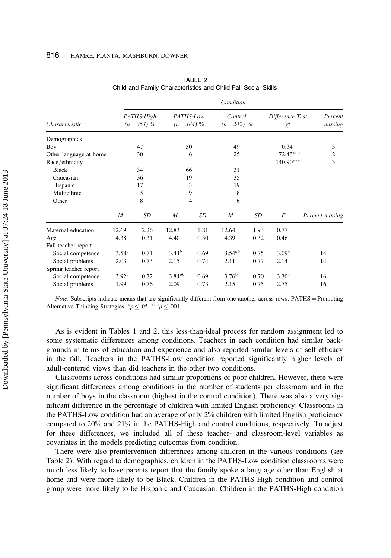|                        |                            | Condition |                           |                |                         |      |                      |                              |
|------------------------|----------------------------|-----------|---------------------------|----------------|-------------------------|------|----------------------|------------------------------|
| Characteristic         | PATHS-High<br>$(n=354) \%$ |           | PATHS-Low<br>$(n=384) \%$ |                | Control<br>$(n=242) \%$ |      | Difference Test<br>χ | Percent<br>missing           |
| Demographics           |                            |           |                           |                |                         |      |                      |                              |
| Boy                    |                            | 47<br>50  |                           |                | 49                      |      | 0.34                 | 3                            |
| Other language at home |                            | 30        | 6                         |                | 25                      |      |                      | $\overline{c}$<br>$72.43***$ |
| Race/ethnicity         |                            |           |                           |                |                         |      | $140.90***$          | 3                            |
| <b>Black</b>           |                            | 34        | 66                        |                | 31                      |      |                      |                              |
| Caucasian              |                            | 36        | 19                        |                | 35                      |      |                      |                              |
| Hispanic               |                            | 17        |                           | 3              | 19                      |      |                      |                              |
| Multiethnic            |                            | 5         |                           | 9              | 8                       |      |                      |                              |
| Other                  |                            | 8         |                           | $\overline{4}$ | 6                       |      |                      |                              |
|                        | M                          | SD        | $\boldsymbol{M}$          | SD             | M                       | SD   | $\sqrt{F}$           | Percent missing              |
| Maternal education     | 12.69                      | 2.26      | 12.83                     | 1.81           | 12.64                   | 1.93 | 0.77                 |                              |
| Age                    | 4.38                       | 0.31      | 4.40                      | 0.30           | 4.39                    | 0.32 | 0.46                 |                              |
| Fall teacher report    |                            |           |                           |                |                         |      |                      |                              |
| Social competence      | $3.58^{a}$                 | 0.71      | $3.44^{b}$                | 0.69           | $3.54^{ab}$             | 0.75 | $3.09*$              | 14                           |
| Social problems        | 2.03                       | 0.73      | 2.15                      | 0.74           | 2.11                    | 0.77 | 2.14                 | 14                           |
| Spring teacher report  |                            |           |                           |                |                         |      |                      |                              |
| Social competence      | $3.92^a$                   | 0.72      | $3.84^{ab}$               | 0.69           | $3.76^{\rm b}$          | 0.70 | $3.30*$              | 16                           |
| Social problems        | 1.99                       | 0.76      | 2.09                      | 0.73           | 2.15                    | 0.75 | 2.75                 | 16                           |

TABLE 2 Child and Family Characteristics and Child Fall Social Skills

*Note.* Subscripts indicate means that are significantly different from one another across rows. PATHS = Promoting Alternative Thinking Strategies.  $^*p \leq .05$ .  $^{***}p \leq .001$ .

As is evident in Tables 1 and 2, this less-than-ideal process for random assignment led to some systematic differences among conditions. Teachers in each condition had similar backgrounds in terms of education and experience and also reported similar levels of self-efficacy in the fall. Teachers in the PATHS-Low condition reported significantly higher levels of adult-centered views than did teachers in the other two conditions.

Classrooms across conditions had similar proportions of poor children. However, there were significant differences among conditions in the number of students per classroom and in the number of boys in the classroom (highest in the control condition). There was also a very significant difference in the percentage of children with limited English proficiency: Classrooms in the PATHS-Low condition had an average of only 2% children with limited English proficiency compared to 20% and 21% in the PATHS-High and control conditions, respectively. To adjust for these differences, we included all of these teacher- and classroom-level variables as covariates in the models predicting outcomes from condition.

There were also preintervention differences among children in the various conditions (see Table 2). With regard to demographics, children in the PATHS-Low condition classrooms were much less likely to have parents report that the family spoke a language other than English at home and were more likely to be Black. Children in the PATHS-High condition and control group were more likely to be Hispanic and Caucasian. Children in the PATHS-High condition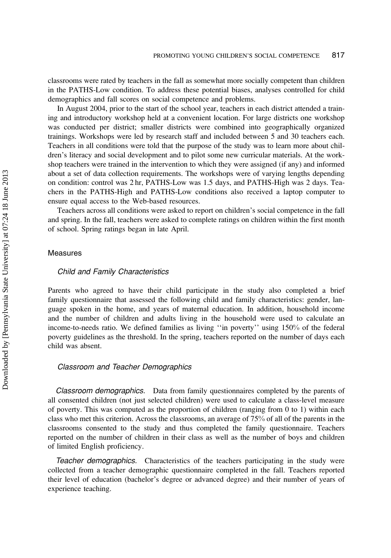classrooms were rated by teachers in the fall as somewhat more socially competent than children in the PATHS-Low condition. To address these potential biases, analyses controlled for child demographics and fall scores on social competence and problems.

In August 2004, prior to the start of the school year, teachers in each district attended a training and introductory workshop held at a convenient location. For large districts one workshop was conducted per district; smaller districts were combined into geographically organized trainings. Workshops were led by research staff and included between 5 and 30 teachers each. Teachers in all conditions were told that the purpose of the study was to learn more about children's literacy and social development and to pilot some new curricular materials. At the workshop teachers were trained in the intervention to which they were assigned (if any) and informed about a set of data collection requirements. The workshops were of varying lengths depending on condition: control was 2 hr, PATHS-Low was 1.5 days, and PATHS-High was 2 days. Teachers in the PATHS-High and PATHS-Low conditions also received a laptop computer to ensure equal access to the Web-based resources.

Teachers across all conditions were asked to report on children's social competence in the fall and spring. In the fall, teachers were asked to complete ratings on children within the first month of school. Spring ratings began in late April.

#### Measures

#### Child and Family Characteristics

Parents who agreed to have their child participate in the study also completed a brief family questionnaire that assessed the following child and family characteristics: gender, language spoken in the home, and years of maternal education. In addition, household income and the number of children and adults living in the household were used to calculate an income-to-needs ratio. We defined families as living ''in poverty'' using 150% of the federal poverty guidelines as the threshold. In the spring, teachers reported on the number of days each child was absent.

#### Classroom and Teacher Demographics

Classroom demographics. Data from family questionnaires completed by the parents of all consented children (not just selected children) were used to calculate a class-level measure of poverty. This was computed as the proportion of children (ranging from 0 to 1) within each class who met this criterion. Across the classrooms, an average of 75% of all of the parents in the classrooms consented to the study and thus completed the family questionnaire. Teachers reported on the number of children in their class as well as the number of boys and children of limited English proficiency.

**Teacher demographics.** Characteristics of the teachers participating in the study were collected from a teacher demographic questionnaire completed in the fall. Teachers reported their level of education (bachelor's degree or advanced degree) and their number of years of experience teaching.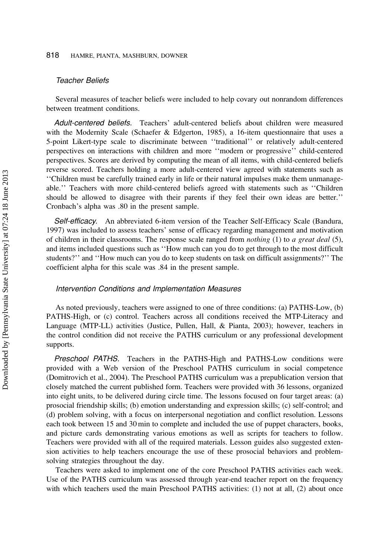### Teacher Beliefs

Several measures of teacher beliefs were included to help covary out nonrandom differences between treatment conditions.

Adult-centered beliefs. Teachers' adult-centered beliefs about children were measured with the Modernity Scale (Schaefer & Edgerton, 1985), a 16-item questionnaire that uses a 5-point Likert-type scale to discriminate between ''traditional'' or relatively adult-centered perspectives on interactions with children and more ''modern or progressive'' child-centered perspectives. Scores are derived by computing the mean of all items, with child-centered beliefs reverse scored. Teachers holding a more adult-centered view agreed with statements such as ''Children must be carefully trained early in life or their natural impulses make them unmanageable.'' Teachers with more child-centered beliefs agreed with statements such as ''Children should be allowed to disagree with their parents if they feel their own ideas are better.'' Cronbach's alpha was .80 in the present sample.

**Self-efficacy.** An abbreviated 6-item version of the Teacher Self-Efficacy Scale (Bandura, 1997) was included to assess teachers' sense of efficacy regarding management and motivation of children in their classrooms. The response scale ranged from *nothing* (1) to a great deal  $(5)$ , and items included questions such as ''How much can you do to get through to the most difficult students?'' and ''How much can you do to keep students on task on difficult assignments?'' The coefficient alpha for this scale was .84 in the present sample.

#### Intervention Conditions and Implementation Measures

As noted previously, teachers were assigned to one of three conditions: (a) PATHS-Low, (b) PATHS-High, or (c) control. Teachers across all conditions received the MTP-Literacy and Language (MTP-LL) activities (Justice, Pullen, Hall, & Pianta, 2003); however, teachers in the control condition did not receive the PATHS curriculum or any professional development supports.

Preschool PATHS. Teachers in the PATHS-High and PATHS-Low conditions were provided with a Web version of the Preschool PATHS curriculum in social competence (Domitrovich et al., 2004). The Preschool PATHS curriculum was a prepublication version that closely matched the current published form. Teachers were provided with 36 lessons, organized into eight units, to be delivered during circle time. The lessons focused on four target areas: (a) prosocial friendship skills; (b) emotion understanding and expression skills; (c) self-control; and (d) problem solving, with a focus on interpersonal negotiation and conflict resolution. Lessons each took between 15 and 30 min to complete and included the use of puppet characters, books, and picture cards demonstrating various emotions as well as scripts for teachers to follow. Teachers were provided with all of the required materials. Lesson guides also suggested extension activities to help teachers encourage the use of these prosocial behaviors and problemsolving strategies throughout the day.

Teachers were asked to implement one of the core Preschool PATHS activities each week. Use of the PATHS curriculum was assessed through year-end teacher report on the frequency with which teachers used the main Preschool PATHS activities: (1) not at all, (2) about once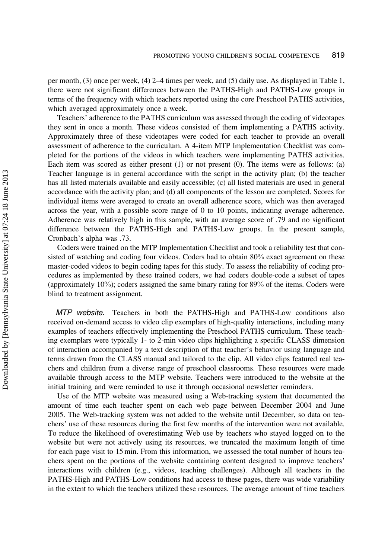per month, (3) once per week, (4) 2–4 times per week, and (5) daily use. As displayed in Table 1, there were not significant differences between the PATHS-High and PATHS-Low groups in terms of the frequency with which teachers reported using the core Preschool PATHS activities, which averaged approximately once a week.

Teachers' adherence to the PATHS curriculum was assessed through the coding of videotapes they sent in once a month. These videos consisted of them implementing a PATHS activity. Approximately three of these videotapes were coded for each teacher to provide an overall assessment of adherence to the curriculum. A 4-item MTP Implementation Checklist was completed for the portions of the videos in which teachers were implementing PATHS activities. Each item was scored as either present (1) or not present (0). The items were as follows: (a) Teacher language is in general accordance with the script in the activity plan; (b) the teacher has all listed materials available and easily accessible; (c) all listed materials are used in general accordance with the activity plan; and (d) all components of the lesson are completed. Scores for individual items were averaged to create an overall adherence score, which was then averaged across the year, with a possible score range of 0 to 10 points, indicating average adherence. Adherence was relatively high in this sample, with an average score of .79 and no significant difference between the PATHS-High and PATHS-Low groups. In the present sample, Cronbach's alpha was .73.

Coders were trained on the MTP Implementation Checklist and took a reliability test that consisted of watching and coding four videos. Coders had to obtain 80% exact agreement on these master-coded videos to begin coding tapes for this study. To assess the reliability of coding procedures as implemented by these trained coders, we had coders double-code a subset of tapes (approximately 10%); coders assigned the same binary rating for 89% of the items. Coders were blind to treatment assignment.

MTP website. Teachers in both the PATHS-High and PATHS-Low conditions also received on-demand access to video clip exemplars of high-quality interactions, including many examples of teachers effectively implementing the Preschool PATHS curriculum. These teaching exemplars were typically 1- to 2-min video clips highlighting a specific CLASS dimension of interaction accompanied by a text description of that teacher's behavior using language and terms drawn from the CLASS manual and tailored to the clip. All video clips featured real teachers and children from a diverse range of preschool classrooms. These resources were made available through access to the MTP website. Teachers were introduced to the website at the initial training and were reminded to use it through occasional newsletter reminders.

Use of the MTP website was measured using a Web-tracking system that documented the amount of time each teacher spent on each web page between December 2004 and June 2005. The Web-tracking system was not added to the website until December, so data on teachers' use of these resources during the first few months of the intervention were not available. To reduce the likelihood of overestimating Web use by teachers who stayed logged on to the website but were not actively using its resources, we truncated the maximum length of time for each page visit to 15 min. From this information, we assessed the total number of hours teachers spent on the portions of the website containing content designed to improve teachers' interactions with children (e.g., videos, teaching challenges). Although all teachers in the PATHS-High and PATHS-Low conditions had access to these pages, there was wide variability in the extent to which the teachers utilized these resources. The average amount of time teachers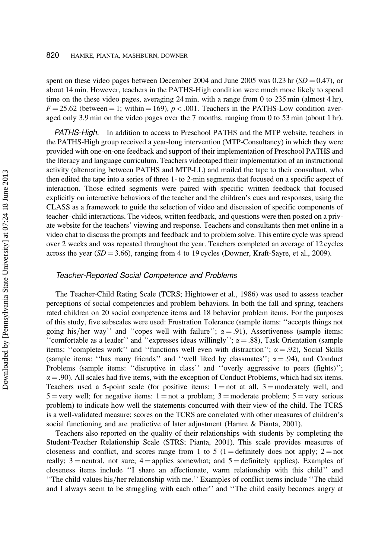spent on these video pages between December 2004 and June 2005 was 0.23 hr  $(SD = 0.47)$ , or about 14 min. However, teachers in the PATHS-High condition were much more likely to spend time on the these video pages, averaging 24 min, with a range from 0 to 235 min (almost 4 hr),  $F = 25.62$  (between  $= 1$ ; within  $= 169$ ),  $p < .001$ . Teachers in the PATHS-Low condition averaged only 3.9 min on the video pages over the 7 months, ranging from 0 to 53 min (about 1 hr).

PATHS-High. In addition to access to Preschool PATHS and the MTP website, teachers in the PATHS-High group received a year-long intervention (MTP-Consultancy) in which they were provided with one-on-one feedback and support of their implementation of Preschool PATHS and the literacy and language curriculum. Teachers videotaped their implementation of an instructional activity (alternating between PATHS and MTP-LL) and mailed the tape to their consultant, who then edited the tape into a series of three 1- to 2-min segments that focused on a specific aspect of interaction. Those edited segments were paired with specific written feedback that focused explicitly on interactive behaviors of the teacher and the children's cues and responses, using the CLASS as a framework to guide the selection of video and discussion of specific components of teacher–child interactions. The videos, written feedback, and questions were then posted on a private website for the teachers' viewing and response. Teachers and consultants then met online in a video chat to discuss the prompts and feedback and to problem solve. This entire cycle was spread over 2 weeks and was repeated throughout the year. Teachers completed an average of 12 cycles across the year  $(SD = 3.66)$ , ranging from 4 to 19 cycles (Downer, Kraft-Sayre, et al., 2009).

#### Teacher-Reported Social Competence and Problems

The Teacher-Child Rating Scale (TCRS; Hightower et al., 1986) was used to assess teacher perceptions of social competencies and problem behaviors. In both the fall and spring, teachers rated children on 20 social competence items and 18 behavior problem items. For the purposes of this study, five subscales were used: Frustration Tolerance (sample items: ''accepts things not going his/her way'' and "copes well with failure";  $\alpha = .91$ ), Assertiveness (sample items: "comfortable as a leader" and "expresses ideas willingly";  $\alpha = .88$ ), Task Orientation (sample items: "completes work" and "functions well even with distraction";  $\alpha = .92$ ), Social Skills (sample items: "has many friends" and "well liked by classmates";  $\alpha = .94$ ), and Conduct Problems (sample items: "disruptive in class" and "overly aggressive to peers (fights)";  $\alpha = .90$ ). All scales had five items, with the exception of Conduct Problems, which had six items. Teachers used a 5-point scale (for positive items:  $1 = not$  at all,  $3 =$  moderately well, and  $5 = \text{very well}$ ; for negative items:  $1 = \text{not a problem}$ ;  $3 = \text{moderate problem}$ ;  $5 = \text{very serious}$ problem) to indicate how well the statements concurred with their view of the child. The TCRS is a well-validated measure; scores on the TCRS are correlated with other measures of children's social functioning and are predictive of later adjustment (Hamre & Pianta, 2001).

Teachers also reported on the quality of their relationships with students by completing the Student-Teacher Relationship Scale (STRS; Pianta, 2001). This scale provides measures of closeness and conflict, and scores range from 1 to 5 (1 = definitely does not apply;  $2 =$  not really;  $3 =$  neutral, not sure;  $4 =$  applies somewhat; and  $5 =$  definitely applies). Examples of closeness items include ''I share an affectionate, warm relationship with this child'' and 'The child values his/her relationship with me.'' Examples of conflict items include 'The child and I always seem to be struggling with each other'' and ''The child easily becomes angry at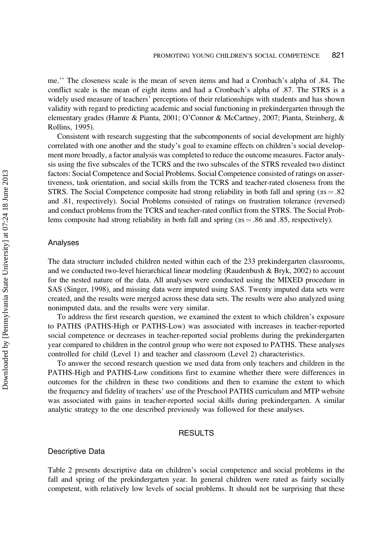me.'' The closeness scale is the mean of seven items and had a Cronbach's alpha of .84. The conflict scale is the mean of eight items and had a Cronbach's alpha of .87. The STRS is a widely used measure of teachers' perceptions of their relationships with students and has shown validity with regard to predicting academic and social functioning in prekindergarten through the elementary grades (Hamre & Pianta, 2001; O'Connor & McCartney, 2007; Pianta, Steinberg, & Rollins, 1995).

Consistent with research suggesting that the subcomponents of social development are highly correlated with one another and the study's goal to examine effects on children's social development more broadly, a factor analysis was completed to reduce the outcome measures. Factor analysis using the five subscales of the TCRS and the two subscales of the STRS revealed two distinct factors: Social Competence and Social Problems. Social Competence consisted of ratings on assertiveness, task orientation, and social skills from the TCRS and teacher-rated closeness from the STRS. The Social Competence composite had strong reliability in both fall and spring ( $\alpha s = .82$ ) and .81, respectively). Social Problems consisted of ratings on frustration tolerance (reversed) and conduct problems from the TCRS and teacher-rated conflict from the STRS. The Social Problems composite had strong reliability in both fall and spring ( $\alpha s = .86$  and  $.85$ , respectively).

#### Analyses

The data structure included children nested within each of the 233 prekindergarten classrooms, and we conducted two-level hierarchical linear modeling (Raudenbush & Bryk, 2002) to account for the nested nature of the data. All analyses were conducted using the MIXED procedure in SAS (Singer, 1998), and missing data were imputed using SAS. Twenty imputed data sets were created, and the results were merged across these data sets. The results were also analyzed using nonimputed data, and the results were very similar.

To address the first research question, we examined the extent to which children's exposure to PATHS (PATHS-High or PATHS-Low) was associated with increases in teacher-reported social competence or decreases in teacher-reported social problems during the prekindergarten year compared to children in the control group who were not exposed to PATHS. These analyses controlled for child (Level 1) and teacher and classroom (Level 2) characteristics.

To answer the second research question we used data from only teachers and children in the PATHS-High and PATHS-Low conditions first to examine whether there were differences in outcomes for the children in these two conditions and then to examine the extent to which the frequency and fidelity of teachers' use of the Preschool PATHS curriculum and MTP website was associated with gains in teacher-reported social skills during prekindergarten. A similar analytic strategy to the one described previously was followed for these analyses.

#### RESULTS

#### Descriptive Data

Table 2 presents descriptive data on children's social competence and social problems in the fall and spring of the prekindergarten year. In general children were rated as fairly socially competent, with relatively low levels of social problems. It should not be surprising that these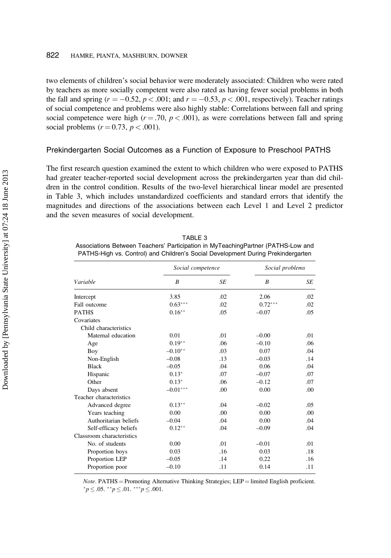two elements of children's social behavior were moderately associated: Children who were rated by teachers as more socially competent were also rated as having fewer social problems in both the fall and spring  $(r = -0.52, p < .001$ ; and  $r = -0.53, p < .001$ , respectively). Teacher ratings of social competence and problems were also highly stable: Correlations between fall and spring social competence were high ( $r = .70$ ,  $p < .001$ ), as were correlations between fall and spring social problems  $(r = 0.73, p < .001)$ .

#### Prekindergarten Social Outcomes as a Function of Exposure to Preschool PATHS

The first research question examined the extent to which children who were exposed to PATHS had greater teacher-reported social development across the prekindergarten year than did children in the control condition. Results of the two-level hierarchical linear model are presented in Table 3, which includes unstandardized coefficients and standard errors that identify the magnitudes and directions of the associations between each Level 1 and Level 2 predictor and the seven measures of social development.

|                           | Social competence |     | Social problems |     |  |
|---------------------------|-------------------|-----|-----------------|-----|--|
| Variable                  | B                 | SE  | B               | SE  |  |
| Intercept                 | 3.85              | .02 | 2.06            | .02 |  |
| Fall outcome              | $0.63***$         | .02 | $0.72***$       | .02 |  |
| <b>PATHS</b>              | $0.16**$          | .05 | $-0.07$         | .05 |  |
| Covariates                |                   |     |                 |     |  |
| Child characteristics     |                   |     |                 |     |  |
| Maternal education        | 0.01              | .01 | $-0.00$         | .01 |  |
| Age                       | $0.19**$          | .06 | $-0.10$         | .06 |  |
| Boy                       | $-0.10**$         | .03 | 0.07            | .04 |  |
| Non-English               | $-0.08$           | .13 | $-0.03$         | .14 |  |
| <b>Black</b>              | $-0.05$           | .04 | 0.06            | .04 |  |
| Hispanic                  | $0.13*$           | .07 | $-0.07$         | .07 |  |
| Other                     | $0.13*$           | .06 | $-0.12$         | .07 |  |
| Days absent               | $-0.01***$        | .00 | 0.00            | .00 |  |
| Teacher characteristics   |                   |     |                 |     |  |
| Advanced degree           | $0.13**$          | .04 | $-0.02$         | .05 |  |
| Years teaching            | 0.00              | .00 | 0.00            | .00 |  |
| Authoritarian beliefs     | $-0.04$           | .04 | 0.00            | .04 |  |
| Self-efficacy beliefs     | $0.12**$          | .04 | $-0.09$         | .04 |  |
| Classroom characteristics |                   |     |                 |     |  |
| No. of students           | 0.00              | .01 | $-0.01$         | .01 |  |
| Proportion boys           | 0.03              | .16 | 0.03            | .18 |  |
| Proportion LEP            | $-0.05$           | .14 | 0.22            | .16 |  |
| Proportion poor           | $-0.10$           | .11 | 0.14            | .11 |  |
|                           |                   |     |                 |     |  |

| TABLE |  |
|-------|--|
|-------|--|

Associations Between Teachers' Participation in MyTeachingPartner (PATHS-Low and PATHS-High vs. Control) and Children's Social Development During Prekindergarten

*Note.* PATHS = Promoting Alternative Thinking Strategies; LEP = limited English proficient.  ${}^*p \leq .05.$   ${}^{**}p \leq .01.$   ${}^{***}p \leq .001.$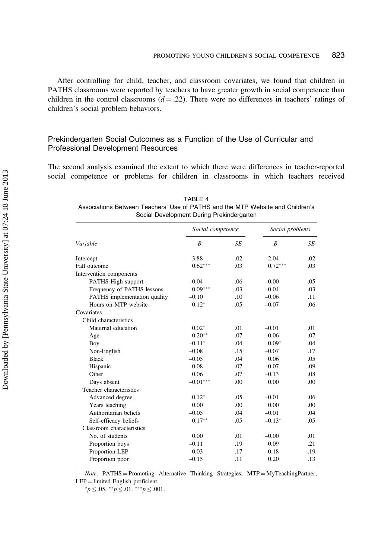After controlling for child, teacher, and classroom covariates, we found that children in PATHS classrooms were reported by teachers to have greater growth in social competence than children in the control classrooms  $(d = .22)$ . There were no differences in teachers' ratings of children's social problem behaviors.

## Prekindergarten Social Outcomes as a Function of the Use of Curricular and Professional Development Resources

The second analysis examined the extent to which there were differences in teacher-reported social competence or problems for children in classrooms in which teachers received

| TABLE 4                                                                        |
|--------------------------------------------------------------------------------|
| Associations Between Teachers' Use of PATHS and the MTP Website and Children's |
| Social Development During Prekindergarten                                      |

|                              | Social competence |     | Social problems |     |  |
|------------------------------|-------------------|-----|-----------------|-----|--|
| Variable                     | B                 | SE  | B               | SE  |  |
| Intercept                    | 3.88              | .02 | 2.04            | .02 |  |
| Fall outcome                 | $0.62***$         | .03 | $0.72***$       | .03 |  |
| Intervention components      |                   |     |                 |     |  |
| PATHS-High support           | $-0.04$           | .06 | $-0.00$         | .05 |  |
| Frequency of PATHS lessons   | $0.09***$         | .03 | $-0.04$         | .03 |  |
| PATHS implementation quality | $-0.10$           | .10 | $-0.06$         | .11 |  |
| Hours on MTP website         | $0.12*$           | .05 | $-0.07$         | .06 |  |
| Covariates                   |                   |     |                 |     |  |
| Child characteristics        |                   |     |                 |     |  |
| Maternal education           | $0.02*$           | .01 | $-0.01$         | .01 |  |
| Age                          | $0.20**$          | .07 | $-0.06$         | .07 |  |
| Boy                          | $-0.11*$          | .04 | $0.09*$         | .04 |  |
| Non-English                  | $-0.08$           | .15 | $-0.07$         | .17 |  |
| <b>Black</b>                 | $-0.05$           | .04 | 0.06            | .05 |  |
| Hispanic                     | 0.08              | .07 | $-0.07$         | .09 |  |
| Other                        | 0.06              | .07 | $-0.13$         | .08 |  |
| Days absent                  | $-0.01***$        | .00 | 0.00            | .00 |  |
| Teacher characteristics      |                   |     |                 |     |  |
| Advanced degree              | $0.12*$           | .05 | $-0.01$         | .06 |  |
| Years teaching               | 0.00              | .00 | 0.00            | .00 |  |
| Authoritarian beliefs        | $-0.05$           | .04 | $-0.01$         | .04 |  |
| Self-efficacy beliefs        | $0.17**$          | .05 | $-0.13*$        | .05 |  |
| Classroom characteristics    |                   |     |                 |     |  |
| No. of students              | 0.00              | .01 | $-0.00$         | .01 |  |
| Proportion boys              | $-0.11$           | .19 | 0.09            | .21 |  |
| Proportion LEP               | 0.03              | .17 | 0.18            | .19 |  |
| Proportion poor              | $-0.15$           | .11 | 0.20            | .13 |  |
|                              |                   |     |                 |     |  |

 $Note.$  PATHS = Promoting Alternative Thinking Strategies; MTP = MyTeachingPartner;  $LEP =$  limited English proficient.

 ${}^*p \leq .05.$   ${}^{**}p \leq .01.$   ${}^{***}p \leq .001.$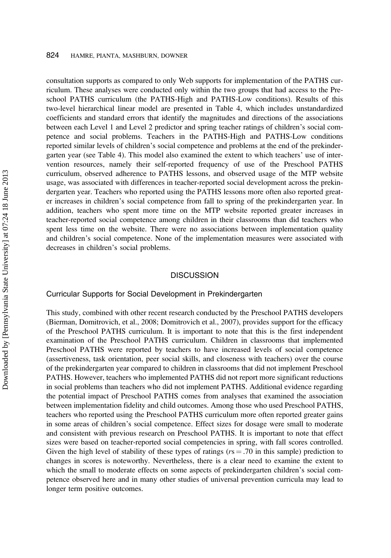consultation supports as compared to only Web supports for implementation of the PATHS curriculum. These analyses were conducted only within the two groups that had access to the Preschool PATHS curriculum (the PATHS-High and PATHS-Low conditions). Results of this two-level hierarchical linear model are presented in Table 4, which includes unstandardized coefficients and standard errors that identify the magnitudes and directions of the associations between each Level 1 and Level 2 predictor and spring teacher ratings of children's social competence and social problems. Teachers in the PATHS-High and PATHS-Low conditions reported similar levels of children's social competence and problems at the end of the prekindergarten year (see Table 4). This model also examined the extent to which teachers' use of intervention resources, namely their self-reported frequency of use of the Preschool PATHS curriculum, observed adherence to PATHS lessons, and observed usage of the MTP website usage, was associated with differences in teacher-reported social development across the prekindergarten year. Teachers who reported using the PATHS lessons more often also reported greater increases in children's social competence from fall to spring of the prekindergarten year. In addition, teachers who spent more time on the MTP website reported greater increases in teacher-reported social competence among children in their classrooms than did teachers who spent less time on the website. There were no associations between implementation quality and children's social competence. None of the implementation measures were associated with decreases in children's social problems.

#### **DISCUSSION**

#### Curricular Supports for Social Development in Prekindergarten

This study, combined with other recent research conducted by the Preschool PATHS developers (Bierman, Domitrovich, et al., 2008; Domitrovich et al., 2007), provides support for the efficacy of the Preschool PATHS curriculum. It is important to note that this is the first independent examination of the Preschool PATHS curriculum. Children in classrooms that implemented Preschool PATHS were reported by teachers to have increased levels of social competence (assertiveness, task orientation, peer social skills, and closeness with teachers) over the course of the prekindergarten year compared to children in classrooms that did not implement Preschool PATHS. However, teachers who implemented PATHS did not report more significant reductions in social problems than teachers who did not implement PATHS. Additional evidence regarding the potential impact of Preschool PATHS comes from analyses that examined the association between implementation fidelity and child outcomes. Among those who used Preschool PATHS, teachers who reported using the Preschool PATHS curriculum more often reported greater gains in some areas of children's social competence. Effect sizes for dosage were small to moderate and consistent with previous research on Preschool PATHS. It is important to note that effect sizes were based on teacher-reported social competencies in spring, with fall scores controlled. Given the high level of stability of these types of ratings ( $rs = .70$  in this sample) prediction to changes in scores is noteworthy. Nevertheless, there is a clear need to examine the extent to which the small to moderate effects on some aspects of prekindergarten children's social competence observed here and in many other studies of universal prevention curricula may lead to longer term positive outcomes.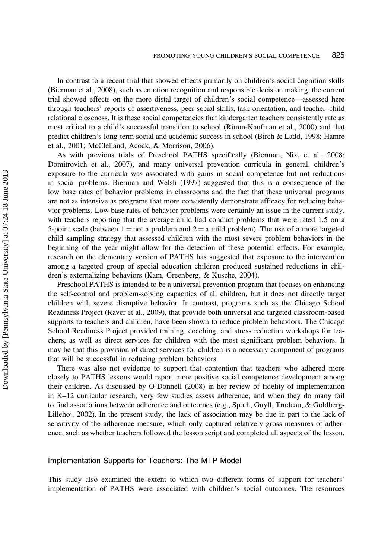In contrast to a recent trial that showed effects primarily on children's social cognition skills (Bierman et al., 2008), such as emotion recognition and responsible decision making, the current trial showed effects on the more distal target of children's social competence—assessed here through teachers' reports of assertiveness, peer social skills, task orientation, and teacher–child relational closeness. It is these social competencies that kindergarten teachers consistently rate as most critical to a child's successful transition to school (Rimm-Kaufman et al., 2000) and that predict children's long-term social and academic success in school (Birch & Ladd, 1998; Hamre et al., 2001; McClelland, Acock, & Morrison, 2006).

As with previous trials of Preschool PATHS specifically (Bierman, Nix, et al., 2008; Domitrovich et al., 2007), and many universal prevention curricula in general, children's exposure to the curricula was associated with gains in social competence but not reductions in social problems. Bierman and Welsh (1997) suggested that this is a consequence of the low base rates of behavior problems in classrooms and the fact that these universal programs are not as intensive as programs that more consistently demonstrate efficacy for reducing behavior problems. Low base rates of behavior problems were certainly an issue in the current study, with teachers reporting that the average child had conduct problems that were rated 1.5 on a 5-point scale (between  $1 =$  not a problem and  $2 =$  a mild problem). The use of a more targeted child sampling strategy that assessed children with the most severe problem behaviors in the beginning of the year might allow for the detection of these potential effects. For example, research on the elementary version of PATHS has suggested that exposure to the intervention among a targeted group of special education children produced sustained reductions in children's externalizing behaviors (Kam, Greenberg, & Kusche, 2004).

Preschool PATHS is intended to be a universal prevention program that focuses on enhancing the self-control and problem-solving capacities of all children, but it does not directly target children with severe disruptive behavior. In contrast, programs such as the Chicago School Readiness Project (Raver et al., 2009), that provide both universal and targeted classroom-based supports to teachers and children, have been shown to reduce problem behaviors. The Chicago School Readiness Project provided training, coaching, and stress reduction workshops for teachers, as well as direct services for children with the most significant problem behaviors. It may be that this provision of direct services for children is a necessary component of programs that will be successful in reducing problem behaviors.

There was also not evidence to support that contention that teachers who adhered more closely to PATHS lessons would report more positive social competence development among their children. As discussed by O'Donnell (2008) in her review of fidelity of implementation in K–12 curricular research, very few studies assess adherence, and when they do many fail to find associations between adherence and outcomes (e.g., Spoth, Guyll, Trudeau, & Goldberg-Lillehoj, 2002). In the present study, the lack of association may be due in part to the lack of sensitivity of the adherence measure, which only captured relatively gross measures of adherence, such as whether teachers followed the lesson script and completed all aspects of the lesson.

#### Implementation Supports for Teachers: The MTP Model

This study also examined the extent to which two different forms of support for teachers' implementation of PATHS were associated with children's social outcomes. The resources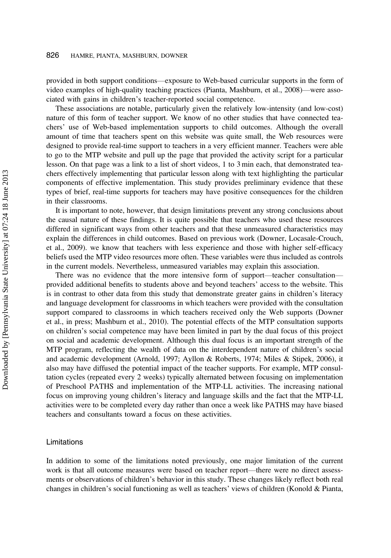provided in both support conditions—exposure to Web-based curricular supports in the form of video examples of high-quality teaching practices (Pianta, Mashburn, et al., 2008)—were associated with gains in children's teacher-reported social competence.

These associations are notable, particularly given the relatively low-intensity (and low-cost) nature of this form of teacher support. We know of no other studies that have connected teachers' use of Web-based implementation supports to child outcomes. Although the overall amount of time that teachers spent on this website was quite small, the Web resources were designed to provide real-time support to teachers in a very efficient manner. Teachers were able to go to the MTP website and pull up the page that provided the activity script for a particular lesson. On that page was a link to a list of short videos, 1 to 3 min each, that demonstrated teachers effectively implementing that particular lesson along with text highlighting the particular components of effective implementation. This study provides preliminary evidence that these types of brief, real-time supports for teachers may have positive consequences for the children in their classrooms.

It is important to note, however, that design limitations prevent any strong conclusions about the causal nature of these findings. It is quite possible that teachers who used these resources differed in significant ways from other teachers and that these unmeasured characteristics may explain the differences in child outcomes. Based on previous work (Downer, Locasale-Crouch, et al., 2009). we know that teachers with less experience and those with higher self-efficacy beliefs used the MTP video resources more often. These variables were thus included as controls in the current models. Nevertheless, unmeasured variables may explain this association.

There was no evidence that the more intensive form of support—teacher consultation provided additional benefits to students above and beyond teachers' access to the website. This is in contrast to other data from this study that demonstrate greater gains in children's literacy and language development for classrooms in which teachers were provided with the consultation support compared to classrooms in which teachers received only the Web supports (Downer et al., in press; Mashburn et al., 2010). The potential effects of the MTP consultation supports on children's social competence may have been limited in part by the dual focus of this project on social and academic development. Although this dual focus is an important strength of the MTP program, reflecting the wealth of data on the interdependent nature of children's social and academic development (Arnold, 1997; Ayllon & Roberts, 1974; Miles & Stipek, 2006), it also may have diffused the potential impact of the teacher supports. For example, MTP consultation cycles (repeated every 2 weeks) typically alternated between focusing on implementation of Preschool PATHS and implementation of the MTP-LL activities. The increasing national focus on improving young children's literacy and language skills and the fact that the MTP-LL activities were to be completed every day rather than once a week like PATHS may have biased teachers and consultants toward a focus on these activities.

#### Limitations

In addition to some of the limitations noted previously, one major limitation of the current work is that all outcome measures were based on teacher report—there were no direct assessments or observations of children's behavior in this study. These changes likely reflect both real changes in children's social functioning as well as teachers' views of children (Konold & Pianta,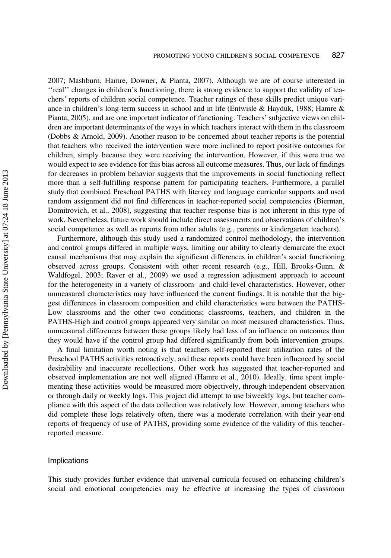2007; Mashburn, Hamre, Downer, & Pianta, 2007). Although we are of course interested in ''real'' changes in children's functioning, there is strong evidence to support the validity of teachers' reports of children social competence. Teacher ratings of these skills predict unique variance in children's long-term success in school and in life (Entwisle & Hayduk, 1988; Hamre & Pianta, 2005), and are one important indicator of functioning. Teachers' subjective views on children are important determinants of the ways in which teachers interact with them in the classroom (Dobbs & Arnold, 2009). Another reason to be concerned about teacher reports is the potential that teachers who received the intervention were more inclined to report positive outcomes for children, simply because they were receiving the intervention. However, if this were true we would expect to see evidence for this bias across all outcome measures. Thus, our lack of findings for decreases in problem behavior suggests that the improvements in social functioning reflect more than a self-fulfilling response pattern for participating teachers. Furthermore, a parallel study that combined Preschool PATHS with literacy and language curricular supports and used random assignment did not find differences in teacher-reported social competencies (Bierman, Domitrovich, et al., 2008), suggesting that teacher response bias is not inherent in this type of work. Nevertheless, future work should include direct assessments and observations of children's social competence as well as reports from other adults (e.g., parents or kindergarten teachers).

Furthermore, although this study used a randomized control methodology, the intervention and control groups differed in multiple ways, limiting our ability to clearly demarcate the exact causal mechanisms that may explain the significant differences in children's social functioning observed across groups. Consistent with other recent research (e.g., Hill, Brooks-Gunn, & Waldfogel, 2003; Raver et al., 2009) we used a regression adjustment approach to account for the heterogeneity in a variety of classroom- and child-level characteristics. However, other unmeasured characteristics may have influenced the current findings. It is notable that the biggest differences in classroom composition and child characteristics were between the PATHS-Low classrooms and the other two conditions; classrooms, teachers, and children in the PATHS-High and control groups appeared very similar on most measured characteristics. Thus, unmeasured differences between these groups likely had less of an influence on outcomes than they would have if the control group had differed significantly from both intervention groups.

A final limitation worth noting is that teachers self-reported their utilization rates of the Preschool PATHS activities retroactively, and these reports could have been influenced by social desirability and inaccurate recollections. Other work has suggested that teacher-reported and observed implementation are not well aligned (Hamre et al., 2010). Ideally, time spent implementing these activities would be measured more objectively, through independent observation or through daily or weekly logs. This project did attempt to use biweekly logs, but teacher compliance with this aspect of the data collection was relatively low. However, among teachers who did complete these logs relatively often, there was a moderate correlation with their year-end reports of frequency of use of PATHS, providing some evidence of the validity of this teacherreported measure.

#### Implications

This study provides further evidence that universal curricula focused on enhancing children's social and emotional competencies may be effective at increasing the types of classroom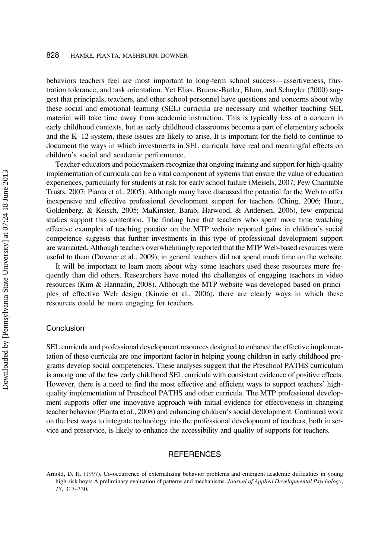behaviors teachers feel are most important to long-term school success—assertiveness, frustration tolerance, and task orientation. Yet Elias, Bruene-Butler, Blum, and Schuyler (2000) suggest that principals, teachers, and other school personnel have questions and concerns about why these social and emotional learning (SEL) curricula are necessary and whether teaching SEL material will take time away from academic instruction. This is typically less of a concern in early childhood contexts, but as early childhood classrooms become a part of elementary schools and the K–12 system, these issues are likely to arise. It is important for the field to continue to document the ways in which investments in SEL curricula have real and meaningful effects on children's social and academic performance.

Teacher-educators and policymakers recognize that ongoing training and support for high-quality implementation of curricula can be a vital component of systems that ensure the value of education experiences, particularly for students at risk for early school failure (Meisels, 2007; Pew Charitable Trusts, 2007; Pianta et al., 2005). Although many have discussed the potential for the Web to offer inexpensive and effective professional development support for teachers (Ching, 2006; Huert, Goldenberg, & Keisch, 2005; MaKinster, Barab, Harwood, & Andersen, 2006), few empirical studies support this contention. The finding here that teachers who spent more time watching effective examples of teaching practice on the MTP website reported gains in children's social competence suggests that further investments in this type of professional development support are warranted. Although teachers overwhelmingly reported that the MTP Web-based resources were useful to them (Downer et al., 2009), in general teachers did not spend much time on the website.

It will be important to learn more about why some teachers used these resources more frequently than did others. Researchers have noted the challenges of engaging teachers in video resources (Kim & Hannafin, 2008). Although the MTP website was developed based on principles of effective Web design (Kinzie et al., 2006), there are clearly ways in which these resources could be more engaging for teachers.

#### Conclusion

SEL curricula and professional development resources designed to enhance the effective implementation of these curricula are one important factor in helping young children in early childhood programs develop social competencies. These analyses suggest that the Preschool PATHS curriculum is among one of the few early childhood SEL curricula with consistent evidence of positive effects. However, there is a need to find the most effective and efficient ways to support teachers' highquality implementation of Preschool PATHS and other curricula. The MTP professional development supports offer one innovative approach with initial evidence for effectiveness in changing teacher behavior (Pianta et al., 2008) and enhancing children's social development. Continued work on the best ways to integrate technology into the professional development of teachers, both in service and preservice, is likely to enhance the accessibility and quality of supports for teachers.

#### **REFERENCES**

Arnold, D. H. (1997). Co-occurrence of externalizing behavior problems and emergent academic difficulties in young high-risk boys: A preliminary evaluation of patterns and mechanisms. Journal of Applied Developmental Psychology, 18, 317–330.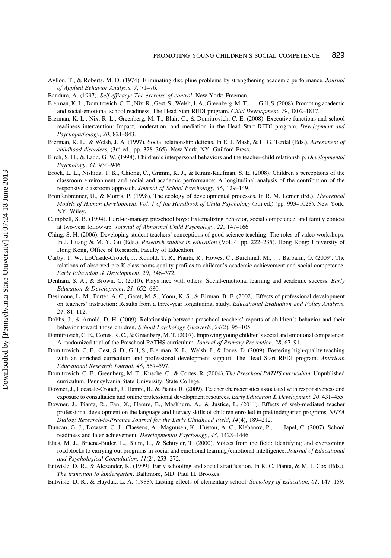- Ayllon, T., & Roberts, M. D. (1974). Eliminating discipline problems by strengthening academic performance. Journal of Applied Behavior Analysis, 7, 71–76.
- Bandura, A. (1997). Self-efficacy: The exercise of control. New York: Freeman.
- Bierman, K. L., Domitrovich, C. E., Nix, R., Gest, S., Welsh, J. A., Greenberg, M. T., ... Gill, S. (2008). Promoting academic and social-emotional school readiness: The Head Start REDI program. Child Development, 79, 1802–1817.
- Bierman, K. L., Nix, R. L., Greenberg, M. T., Blair, C., & Domitrovich, C. E. (2008). Executive functions and school readiness intervention: Impact, moderation, and mediation in the Head Start REDI program. Development and Psychopathology, 20, 821–843.
- Bierman, K. L., & Welsh, J. A. (1997). Social relationship deficits. In E. J. Mash, & L. G. Terdal (Eds.), Assessment of childhood disorders, (3rd ed., pp. 328–365). New York, NY: Guilford Press.
- Birch, S. H., & Ladd, G. W. (1998). Children's interpersonal behaviors and the teacher-child relationship. Developmental Psychology, 34, 934–946.
- Brock, L. L., Nishida, T. K., Chiong, C., Grimm, K. J., & Rimm-Kaufman, S. E. (2008). Children's perceptions of the classroom environment and social and academic performance: A longitudinal analysis of the contribution of the responsive classroom approach. Journal of School Psychology, 46, 129–149.
- Bronfenbrenner, U., & Morris, P. (1998). The ecology of developmental processes. In R. M. Lerner (Ed.), Theoretical Models of Human Development. Vol. 1 of the Handbook of Child Psychology (5th ed.) (pp. 993–1028). New York, NY: Wiley.
- Campbell, S. B. (1994). Hard-to-manage preschool boys: Externalizing behavior, social competence, and family context at two-year follow-up. Journal of Abnormal Child Psychology, 22, 147–166.
- Ching, S. H. (2006). Developing student teachers' conceptions of good science teaching: The roles of video workshops. In J. Huang & M. Y. Gu (Eds.), Research studies in education (Vol. 4, pp. 222–235). Hong Kong: University of Hong Kong, Office of Research, Faculty of Education.
- Curby, T. W., LoCasale-Crouch, J., Konold, T. R., Pianta, R., Howes, C., Burchinal, M., ... Barbarin, O. (2009). The relations of observed pre-K classrooms quality profiles to children's academic achievement and social competence. Early Education & Development, 20, 346–372.
- Denham, S. A., & Brown, C. (2010). Plays nice with others: Social-emotional learning and academic success. Early Education & Development, 21, 652–680.
- Desimone, L. M., Porter, A. C., Garet, M. S., Yoon, K. S., & Birman, B. F. (2002). Effects of professional development on teachers' instruction: Results from a three-year longitudinal study. Educational Evaluation and Policy Analysis, 24, 81–112.
- Dobbs, J., & Arnold, D. H. (2009). Relationship between preschool teachers' reports of children's behavior and their behavior toward those children. School Psychology Quarterly, 24(2), 95–105.
- Domitrovich, C. E., Cortes, R. C., & Greenberg, M. T. (2007). Improving young children's social and emotional competence: A randomized trial of the Preschool PATHS curriculum. Journal of Primary Prevention, 28, 67–91.
- Domitrovich, C. E., Gest, S. D., Gill, S., Bierman, K. L., Welsh, J., & Jones, D. (2009). Fostering high-quality teaching with an enriched curriculum and professional development support: The Head Start REDI program. American Educational Research Journal, 46, 567–597.
- Domitrovich, C. E., Greenberg, M. T., Kusche, C., & Cortes, R. (2004). The Preschool PATHS curriculum. Unpublished curriculum, Pennsylvania State University, State College.
- Downer, J., Locasale-Crouch, J., Hamre, B., & Pianta, R. (2009). Teacher characteristics associated with responsiveness and exposure to consultation and online professional development resources. Early Education & Development, 20, 431-455.
- Downer, J., Pianta, R., Fan, X., Hamre, B., Mashburn, A., & Justice, L. (2011). Effects of web-mediated teacher professional development on the language and literacy skills of children enrolled in prekindergarten programs. NHSA Dialog: Research-to-Practice Journal for the Early Childhood Field, 14(4), 189–212.
- Duncan, G. J., Dowsett, C. J., Claesens, A., Magnusen, K., Huston, A. C., Klebanov, P., ... Japel, C. (2007). School readiness and later achievement. Developmental Psychology, 43, 1428–1446.
- Elias, M. J., Bruene-Butler, L., Blum, L., & Schuyler, T. (2000). Voices from the field: Identifying and overcoming roadblocks to carrying out programs in social and emotional learning/emotional intelligence. Journal of Educational and Psychological Consultation, 11(2), 253–272.
- Entwisle, D. R., & Alexander, K. (1999). Early schooling and social stratification. In R. C. Pianta, & M. J. Cox (Eds.), The transition to kindergarten. Baltimore, MD: Paul H. Brookes.
- Entwisle, D. R., & Hayduk, L. A. (1988). Lasting effects of elementary school. Sociology of Education, 61, 147–159.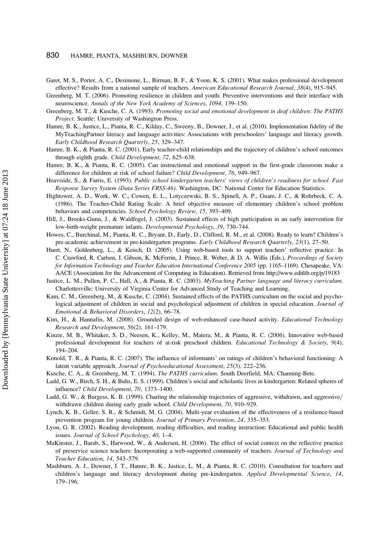- Garet, M. S., Porter, A. C., Desimone, L., Birman, B. F., & Yoon, K. S. (2001). What makes professional development effective? Results from a national sample of teachers. American Educational Research Journal, 38(4), 915–945.
- Greenberg, M. T. (2006). Promoting resilience in children and youth: Preventive interventions and their interface with neuroscience. Annals of the New York Academy of Sciences, 1094, 139–150.
- Greenberg, M. T., & Kusche, C. A. (1993). Promoting social and emotional development in deaf children: The PATHS Project. Seattle: University of Washington Press.
- Hamre, B. K., Justice, L., Pianta, R. C., Kilday, C., Sweeny, B., Downer, J., et al. (2010). Implementation fidelity of the MyTeachingPartner literacy and language activities: Associations with preschoolers' language and literacy growth. Early Childhood Research Quarterly, 25, 329–347.
- Hamre, B. K., & Pianta, R. C. (2001). Early teacher-child relationships and the trajectory of children's school outcomes through eighth grade. Child Development, 72, 625–638.
- Hamre, B. K., & Pianta, R. C. (2005). Can instructional and emotional support in the first-grade classroom make a difference for children at risk of school failure? Child Development, 76, 949–967.
- Heaviside, S., & Farris, E. (1993). Public school kindergarten teachers' views of children's readiness for school. Fast Response Survey System (Data Series FRSS-46). Washington, DC: National Center for Education Statistics.
- Hightower, A. D., Work, W. C., Cowen, E. L., Lotyczewski, B. S., Spinell, A. P., Guare, J. C., & Rohrbeck, C. A. (1986). The Teacher-Child Rating Scale: A brief objective measure of elementary children's school problem behaviors and competencies. School Psychology Review, 15, 393–409.
- Hill, J., Brooks-Gunn, J., & Waldfogel, J. (2003). Sustained effects of high participation in an early intervention for low-birth-weight premature infants. Developmental Psychology, 39, 730–744.
- Howes, C., Burchinal, M., Pianta, R. C., Bryant, D., Early, D., Clifford, R. M., et al. (2008). Ready to learn? Children's pre-academic achievement in pre-kindergarten programs. Early Childhood Research Quarterly, 23(1), 27-50.
- Huert, N., Goldenberg, L., & Keisch, D. (2005). Using web-based tools to support teachers' reflective practice. In C. Crawford, R. Carlsen, I. Gibson, K. McFerrin, J. Prince, R. Weber, & D. A. Willis (Eds.), Proceedings of Society for Information Technology and Teacher Education International Conference 2005 (pp. 1165–1169). Chesapeake, VA: AACE (Association for the Advancement of Computing in Education). Retrieved from http://www.editlib.org/p/19183
- Justice, L. M., Pullen, P. C., Hall, A., & Pianta, R. C. (2003). MyTeaching Partner language and literacy curriculum. Charlottesville: University of Virginia Center for Advanced Study of Teaching and Learning.
- Kam, C. M., Greenberg, M., & Kusche, C. (2004). Sustained effects of the PATHS curriculum on the social and psychological adjustment of children in social and psychological adjustment of children in special education. Journal of Emotional & Behavioral Disorders, 12(2), 66–78.
- Kim, H., & Hannafin, M. (2008). Grounded design of web-enhanced case-based activity. Educational Technology Research and Development, 56(2), 161–179.
- Kinzie, M. B., Whitaker, S. D., Neesen, K., Kelley, M., Matera, M., & Pianta, R. C. (2006). Innovative web-based professional development for teachers of at-risk preschool children. Educational Technology & Society, 9(4), 194–204.
- Konold, T. R., & Pianta, R. C. (2007). The influence of informants' on ratings of children's behavioral functioning: A latent variable approach. Journal of Psychoeducational Assessment, 25(3), 222–236.
- Kusche, C. A., & Greenberg, M. T. (1994). The PATHS curriculum. South Deerfield, MA: Channing-Bete.
- Ladd, G. W., Birch, S. H., & Buhs, E. S. (1999). Children's social and scholastic lives in kindergarten: Related spheres of influence? Child Development, 70, 1373–1400.
- Ladd, G. W., & Burgess, K. B. (1999). Charting the relationship trajectories of aggressive, withdrawn, and aggressive/ withdrawn children during early grade school. Child Development, 70, 910-929.
- Lynch, K. B., Geller, S. R., & Schmidt, M. G. (2004). Multi-year evaluation of the effectiveness of a resilience-based prevention program for young children. Journal of Primary Prevention, 24, 335-353.
- Lyon, G. R. (2002). Reading development, reading difficulties, and reading instruction: Educational and public health issues. Journal of School Psychology, 40, 1–4.
- MaKinster, J., Barab, S., Harwood, W., & Andersen, H. (2006). The effect of social context on the reflective practice of preservice science teachers: Incorporating a web-supported community of teachers. Journal of Technology and Teacher Education, 14, 543–579.
- Mashburn, A. J., Downer, J. T., Hamre, B. K., Justice, L. M., & Pianta, R. C. (2010). Consultation for teachers and children's language and literacy development during pre-kindergarten. Applied Developmental Science, 14, 179–196.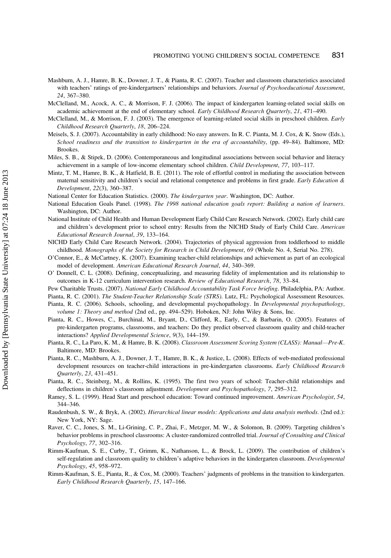- Mashburn, A. J., Hamre, B. K., Downer, J. T., & Pianta, R. C. (2007). Teacher and classroom characteristics associated with teachers' ratings of pre-kindergartners' relationships and behaviors. Journal of Psychoeducational Assessment, 24, 367–380.
- McClelland, M., Acock, A. C., & Morrison, F. J. (2006). The impact of kindergarten learning-related social skills on academic achievement at the end of elementary school. Early Childhood Research Quarterly, 21, 471-490.
- McClelland, M., & Morrison, F. J. (2003). The emergence of learning-related social skills in preschool children. *Early* Childhood Research Quarterly, 18, 206–224.
- Meisels, S. J. (2007). Accountability in early childhood: No easy answers. In R. C. Pianta, M. J. Cox, & K. Snow (Eds.), School readiness and the transition to kindergarten in the era of accountability, (pp. 49–84). Baltimore, MD: Brookes.
- Miles, S. B., & Stipek, D. (2006). Contemporaneous and longitudinal associations between social behavior and literacy achievement in a sample of low-income elementary school children. Child Development, 77, 103–117.
- Mintz, T. M., Hamre, B. K., & Hatfield, B. E. (2011). The role of effortful control in mediating the association between maternal sensitivity and children's social and relational competence and problems in first grade. Early Education & Development, 22(3), 360–387.
- National Center for Education Statistics. (2000). The kindergarten year. Washington, DC: Author.
- National Education Goals Panel. (1998). The 1998 national education goals report: Building a nation of learners. Washington, DC: Author.
- National Institute of Child Health and Human Development Early Child Care Research Network. (2002). Early child care and children's development prior to school entry: Results from the NICHD Study of Early Child Care. American Educational Research Journal, 39, 133–164.
- NICHD Early Child Care Research Network. (2004). Trajectories of physical aggression from toddlerhood to middle childhood. Monographs of the Society for Research in Child Development, 69 (Whole No. 4, Serial No. 278).
- O'Connor, E., & McCartney, K. (2007). Examining teacher-child relationships and achievement as part of an ecological model of development. American Educational Research Journal, 44, 340–369.
- O' Donnell, C. L. (2008). Defining, conceptualizing, and measuring fidelity of implementation and its relationship to outcomes in K-12 curriculum intervention research. Review of Educational Research, 78, 33–84.
- Pew Charitable Trusts. (2007). National Early Childhood Accountability Task Force briefing. Philadelphia, PA: Author.
- Pianta, R. C. (2001). The Student-Teacher Relationship Scale (STRS). Lutz, FL: Psychological Assessment Resources.
- Pianta, R. C. (2006). Schools, schooling, and developmental psychopathology. In Developmental psychopathology, volume 1: Theory and method (2nd ed., pp. 494–529). Hoboken, NJ: John Wiley & Sons, Inc.
- Pianta, R. C., Howes, C., Burchinal, M., Bryant, D., Clifford, R., Early, C., & Barbarin, O. (2005). Features of pre-kindergarten programs, classrooms, and teachers: Do they predict observed classroom quality and child-teacher interactions? Applied Developmental Science, 9(3), 144–159.
- Pianta, R. C., La Paro, K. M., & Hamre, B. K. (2008). Classroom Assessment Scoring System (CLASS): Manual—Pre-K. Baltimore, MD: Brookes.
- Pianta, R. C., Mashburn, A. J., Downer, J. T., Hamre, B. K., & Justice, L. (2008). Effects of web-mediated professional development resources on teacher-child interactions in pre-kindergarten classrooms. Early Childhood Research Quarterly, 23, 431–451.
- Pianta, R. C., Steinberg, M., & Rollins, K. (1995). The first two years of school: Teacher-child relationships and deflections in children's classroom adjustment. Development and Psychopathology, 7, 295–312.
- Ramey, S. L. (1999). Head Start and preschool education: Toward continued improvement. American Psychologist, 54, 344–346.
- Raudenbush, S. W., & Bryk, A. (2002). Hierarchical linear models: Applications and data analysis methods. (2nd ed.): New York, NY: Sage.
- Raver, C. C., Jones, S. M., Li-Grining, C. P., Zhai, F., Metzger, M. W., & Solomon, B. (2009). Targeting children's behavior problems in preschool classrooms: A cluster-randomized controlled trial. Journal of Consulting and Clinical Psychology, 77, 302–316.
- Rimm-Kaufman, S. E., Curby, T., Grimm, K., Nathanson, L., & Brock, L. (2009). The contribution of children's self-regulation and classroom quality to children's adaptive behaviors in the kindergarten classroom. Developmental Psychology, 45, 958–972.
- Rimm-Kaufman, S. E., Pianta, R., & Cox, M. (2000). Teachers' judgments of problems in the transition to kindergarten. Early Childhood Research Quarterly, 15, 147–166.